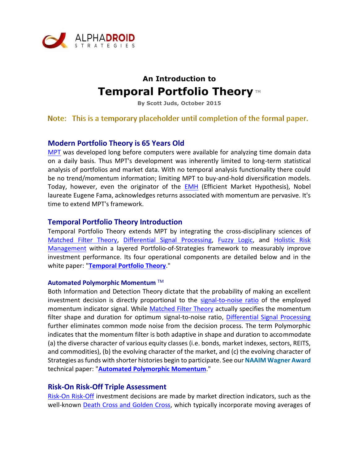

# **An Introduction to Temporal Portfolio Theory** ™

**By Scott Juds, October 2015**

Note: This is a temporary placeholder until completion of the formal paper.

# **Modern Portfolio Theory is 65 Years Old**

[MPT](https://en.wikipedia.org/wiki/Modern_portfolio_theory) was developed long before computers were available for analyzing time domain data on a daily basis. Thus MPT's development was inherently limited to long-term statistical analysis of portfolios and market data. With no temporal analysis functionality there could be no trend/momentum information; limiting MPT to buy-and-hold diversification models. Today, however, even the originator of the [EMH](https://en.wikipedia.org/wiki/Efficient-market_hypothesis) (Efficient Market Hypothesis), Nobel laureate Eugene Fama, acknowledges returns associated with momentum are pervasive. It's time to extend MPT's framework.

## **Temporal Portfolio Theory Introduction**

Temporal Portfolio Theory extends MPT by integrating the cross-disciplinary sciences of [Matched Filter Theory,](https://en.wikipedia.org/wiki/Matched_filter) [Differential Signal Processing,](https://en.wikipedia.org/wiki/Differential_signaling) [Fuzzy Logic,](https://en.wikipedia.org/wiki/Fuzzy_logic) and [Holistic Risk](http://www.cic.edu/News-and-Publications/Multimedia-Library/CICConferencePresentations/2011%20Presidents%20Institute/holistic-approach2.pdf)  [Management](http://www.cic.edu/News-and-Publications/Multimedia-Library/CICConferencePresentations/2011%20Presidents%20Institute/holistic-approach2.pdf) within a layered Portfolio-of-Strategies framework to measurably improve investment performance. Its four operational components are detailed below and in the white paper: "**[Temporal Portfolio Theory](http://alphadroid.com/downloads/Temporal-Portfolio-Theory-Introduction.pdf)**."

#### **Automated Polymorphic Momentum** TM

Both Information and Detection Theory dictate that the probability of making an excellent investment decision is directly proportional to the [signal-to-noise ratio](https://en.wikipedia.org/wiki/Signal-to-noise_ratio) of the employed momentum indicator signal. While [Matched Filter Theory](https://en.wikipedia.org/wiki/Matched_filter) actually specifies the momentum filter shape and duration for optimum signal-to-noise ratio, [Differential Signal Processing](https://en.wikipedia.org/wiki/Differential_signaling) further eliminates common mode noise from the decision process. The term Polymorphic indicates that the momentum filter is both adaptive in shape and duration to accommodate (a) the diverse character of various equity classes (i.e. bonds, market indexes, sectors, REITS, and commodities), (b) the evolving character of the market, and (c) the evolving character of Strategies as funds with shorter histories begin to participate. See our **NAAIM Wagner Award**  technical paper: "**[Automated Polymorphic Momentum](http://alphadroid.com/downloads/Automated%20Polymorphic%20Momentum.pdf)**."

## **Risk-On Risk-Off Triple Assessment**

[Risk-On Risk-Off](http://lexicon.ft.com/Term?term=risk-on,-risk-off) investment decisions are made by market direction indicators, such as the well-known **Death Cross and Golden Cross**, which typically incorporate moving averages of